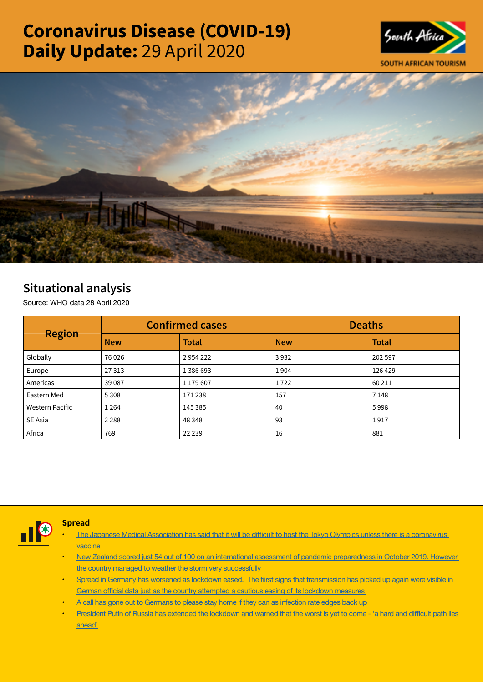# Coronavirus Disease (COVID-19) Daily Update: 29 April 2020





# Situational analysis

Source: WHO data 28 April 2020

| <b>Region</b>          | <b>Confirmed cases</b> |              | <b>Deaths</b> |              |  |
|------------------------|------------------------|--------------|---------------|--------------|--|
|                        | <b>New</b>             | <b>Total</b> | <b>New</b>    | <b>Total</b> |  |
| Globally               | 76 0 26                | 2954222      | 3932          | 202 597      |  |
| Europe                 | 27313                  | 1386693      | 1904          | 126 429      |  |
| Americas               | 39 0 87                | 1 179 607    | 1722          | 60 211       |  |
| Eastern Med            | 5 3 0 8                | 171238       | 157           | 7 1 4 8      |  |
| <b>Western Pacific</b> | 1 2 6 4                | 145 385      | 40            | 5998         |  |
| SE Asia                | 2 2 8 8                | 48 348       | 93            | 1917         |  |
| Africa                 | 769                    | 22 2 3 9     | 16            | 881          |  |



## Spread

- The Japanese Medical Association has said that it will be difficult to host the Tokyo Olympics unless there is a [coronavirus](https://t.co/diICy5K6fT?amp=1) [vaccine](https://t.co/diICy5K6fT?amp=1)
- New Zealand scored just 54 out of 100 on an international assessment of pandemic [preparedness](https://t.co/qXUdLqjZjj?amp=1) in October 2019. However the country managed to weather the storm very [successfully](https://t.co/qXUdLqjZjj?amp=1)
- Spread in Germany has worsened as lockdown eased. The fiirst signs that [transmission](https://t.co/EcoAK8TytW?amp=1) has picked up again were visible in German official data just as the country [attempted](https://t.co/EcoAK8TytW?amp=1) a cautious easing of its lockdown measures
- A call has gone out to [Germans](https://t.co/MGFoxjyB3A?amp=1) to please stay home if they can as infection rate edges back up
- President Putin of Russia has extended the [lockdown](https://t.co/D82SYFrpJ7?amp=1) and warned that the worst is yet to come 'a hard and difficult path lies [ahead'](https://t.co/D82SYFrpJ7?amp=1)